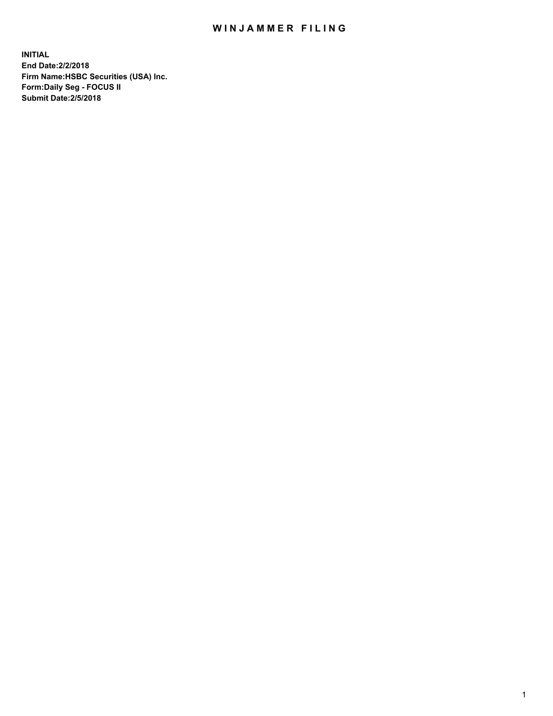## WIN JAMMER FILING

**INITIAL End Date:2/2/2018 Firm Name:HSBC Securities (USA) Inc. Form:Daily Seg - FOCUS II Submit Date:2/5/2018**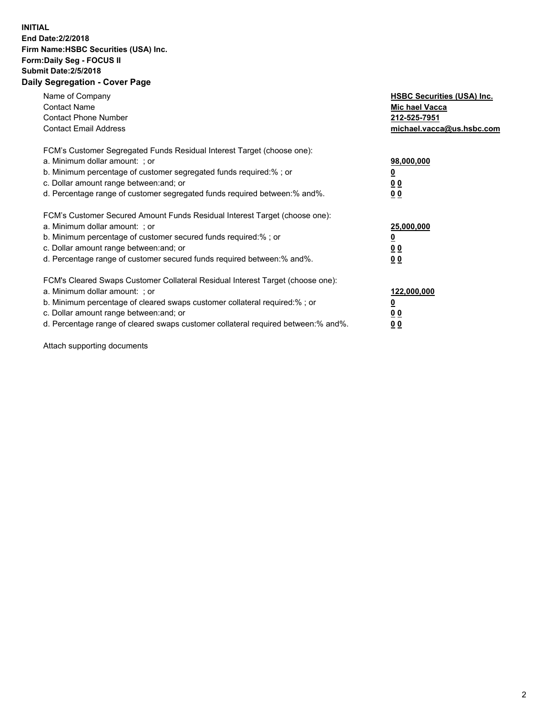## **INITIAL End Date:2/2/2018 Firm Name:HSBC Securities (USA) Inc. Form:Daily Seg - FOCUS II Submit Date:2/5/2018 Daily Segregation - Cover Page**

| Name of Company<br><b>Contact Name</b><br><b>Contact Phone Number</b><br><b>Contact Email Address</b>                                                                                                                                                                                                                         | <b>HSBC Securities (USA) Inc.</b><br>Mic hael Vacca<br>212-525-7951<br>michael.vacca@us.hsbc.com |
|-------------------------------------------------------------------------------------------------------------------------------------------------------------------------------------------------------------------------------------------------------------------------------------------------------------------------------|--------------------------------------------------------------------------------------------------|
| FCM's Customer Segregated Funds Residual Interest Target (choose one):<br>a. Minimum dollar amount: ; or<br>b. Minimum percentage of customer segregated funds required:%; or<br>c. Dollar amount range between: and; or<br>d. Percentage range of customer segregated funds required between: % and %.                       | 98,000,000<br><u>0</u><br><u>00</u><br>00                                                        |
| FCM's Customer Secured Amount Funds Residual Interest Target (choose one):<br>a. Minimum dollar amount: ; or<br>b. Minimum percentage of customer secured funds required:%; or<br>c. Dollar amount range between: and; or<br>d. Percentage range of customer secured funds required between: % and %.                         | 25,000,000<br><u>0</u><br><u>00</u><br>00                                                        |
| FCM's Cleared Swaps Customer Collateral Residual Interest Target (choose one):<br>a. Minimum dollar amount: ; or<br>b. Minimum percentage of cleared swaps customer collateral required:%; or<br>c. Dollar amount range between: and; or<br>d. Percentage range of cleared swaps customer collateral required between:% and%. | 122,000,000<br><u>0</u><br><u>00</u><br><u>00</u>                                                |

Attach supporting documents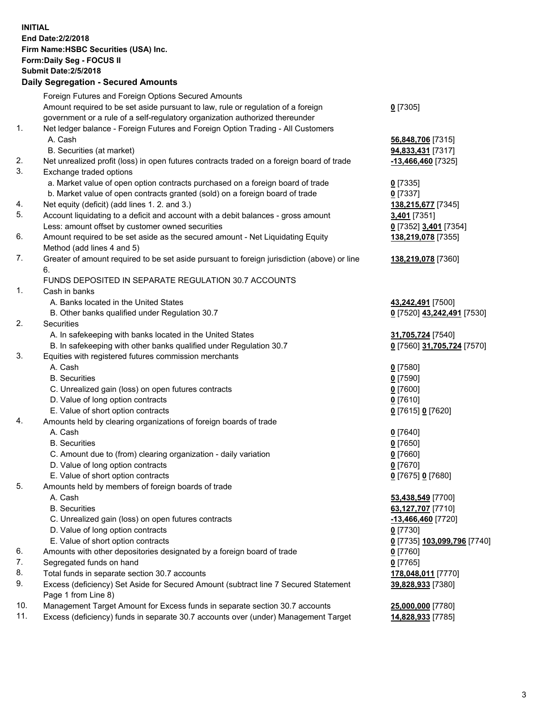**INITIAL End Date:2/2/2018 Firm Name:HSBC Securities (USA) Inc. Form:Daily Seg - FOCUS II Submit Date:2/5/2018 Daily Segregation - Secured Amounts** Foreign Futures and Foreign Options Secured Amounts Amount required to be set aside pursuant to law, rule or regulation of a foreign government or a rule of a self-regulatory organization authorized thereunder **0** [7305] 1. Net ledger balance - Foreign Futures and Foreign Option Trading - All Customers A. Cash **56,848,706** [7315] B. Securities (at market) **94,833,431** [7317] 2. Net unrealized profit (loss) in open futures contracts traded on a foreign board of trade **-13,466,460** [7325] 3. Exchange traded options a. Market value of open option contracts purchased on a foreign board of trade **0** [7335] b. Market value of open contracts granted (sold) on a foreign board of trade **0** [7337] 4. Net equity (deficit) (add lines 1. 2. and 3.) **138,215,677** [7345] 5. Account liquidating to a deficit and account with a debit balances - gross amount **3,401** [7351] Less: amount offset by customer owned securities **0** [7352] **3,401** [7354] 6. Amount required to be set aside as the secured amount - Net Liquidating Equity Method (add lines 4 and 5) **138,219,078** [7355] 7. Greater of amount required to be set aside pursuant to foreign jurisdiction (above) or line 6. **138,219,078** [7360] FUNDS DEPOSITED IN SEPARATE REGULATION 30.7 ACCOUNTS 1. Cash in banks A. Banks located in the United States **43,242,491** [7500] B. Other banks qualified under Regulation 30.7 **0** [7520] **43,242,491** [7530] 2. Securities A. In safekeeping with banks located in the United States **31,705,724** [7540] B. In safekeeping with other banks qualified under Regulation 30.7 **0** [7560] **31,705,724** [7570] 3. Equities with registered futures commission merchants A. Cash **0** [7580] B. Securities **0** [7590] C. Unrealized gain (loss) on open futures contracts **0** [7600] D. Value of long option contracts **0** [7610] E. Value of short option contracts **0** [7615] **0** [7620] 4. Amounts held by clearing organizations of foreign boards of trade A. Cash **0** [7640] B. Securities **0** [7650] C. Amount due to (from) clearing organization - daily variation **0** [7660] D. Value of long option contracts **0** [7670] E. Value of short option contracts **0** [7675] **0** [7680] 5. Amounts held by members of foreign boards of trade A. Cash **53,438,549** [7700] B. Securities **63,127,707** [7710] C. Unrealized gain (loss) on open futures contracts **-13,466,460** [7720] D. Value of long option contracts **0** [7730] E. Value of short option contracts **0** [7735] **103,099,796** [7740] 6. Amounts with other depositories designated by a foreign board of trade **0** [7760] 7. Segregated funds on hand **0** [7765] 8. Total funds in separate section 30.7 accounts **178,048,011** [7770] 9. Excess (deficiency) Set Aside for Secured Amount (subtract line 7 Secured Statement Page 1 from Line 8) **39,828,933** [7380] 10. Management Target Amount for Excess funds in separate section 30.7 accounts **25,000,000** [7780]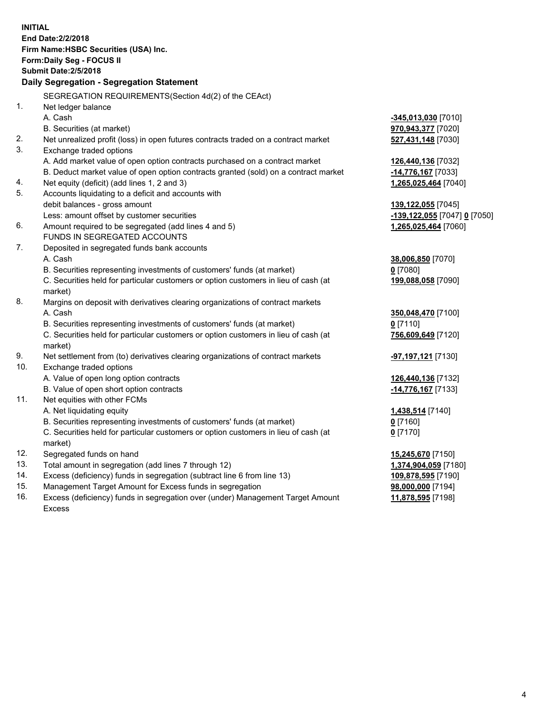| <b>INITIAL</b> | End Date: 2/2/2018<br>Firm Name: HSBC Securities (USA) Inc.<br>Form: Daily Seg - FOCUS II<br><b>Submit Date: 2/5/2018</b><br>Daily Segregation - Segregation Statement |                                          |
|----------------|------------------------------------------------------------------------------------------------------------------------------------------------------------------------|------------------------------------------|
|                |                                                                                                                                                                        |                                          |
| 1.             | SEGREGATION REQUIREMENTS(Section 4d(2) of the CEAct)                                                                                                                   |                                          |
|                | Net ledger balance<br>A. Cash                                                                                                                                          |                                          |
|                |                                                                                                                                                                        | -345,013,030 [7010]                      |
| 2.             | B. Securities (at market)                                                                                                                                              | 970,943,377 [7020]                       |
| 3.             | Net unrealized profit (loss) in open futures contracts traded on a contract market<br>Exchange traded options                                                          | 527,431,148 [7030]                       |
|                | A. Add market value of open option contracts purchased on a contract market                                                                                            |                                          |
|                | B. Deduct market value of open option contracts granted (sold) on a contract market                                                                                    | 126,440,136 [7032]<br>-14,776,167 [7033] |
| 4.             | Net equity (deficit) (add lines 1, 2 and 3)                                                                                                                            | 1,265,025,464 [7040]                     |
| 5.             | Accounts liquidating to a deficit and accounts with                                                                                                                    |                                          |
|                | debit balances - gross amount                                                                                                                                          | 139,122,055 [7045]                       |
|                | Less: amount offset by customer securities                                                                                                                             | -139,122,055 [7047] 0 [7050]             |
| 6.             | Amount required to be segregated (add lines 4 and 5)                                                                                                                   | 1,265,025,464 [7060]                     |
|                | FUNDS IN SEGREGATED ACCOUNTS                                                                                                                                           |                                          |
| 7.             | Deposited in segregated funds bank accounts                                                                                                                            |                                          |
|                | A. Cash                                                                                                                                                                | 38,006,850 [7070]                        |
|                | B. Securities representing investments of customers' funds (at market)                                                                                                 | $0$ [7080]                               |
|                | C. Securities held for particular customers or option customers in lieu of cash (at                                                                                    | 199,088,058 [7090]                       |
|                | market)                                                                                                                                                                |                                          |
| 8.             | Margins on deposit with derivatives clearing organizations of contract markets                                                                                         |                                          |
|                | A. Cash                                                                                                                                                                | 350,048,470 [7100]                       |
|                | B. Securities representing investments of customers' funds (at market)                                                                                                 | $0$ [7110]                               |
|                | C. Securities held for particular customers or option customers in lieu of cash (at                                                                                    | 756,609,649 [7120]                       |
|                | market)                                                                                                                                                                |                                          |
| 9.             | Net settlement from (to) derivatives clearing organizations of contract markets                                                                                        | <mark>-97,197,121</mark> [7130]          |
| 10.            | Exchange traded options                                                                                                                                                |                                          |
|                | A. Value of open long option contracts                                                                                                                                 | 126,440,136 [7132]                       |
|                | B. Value of open short option contracts                                                                                                                                | -14,776,167 <sup>[7133]</sup>            |
| 11.            | Net equities with other FCMs                                                                                                                                           |                                          |
|                | A. Net liquidating equity                                                                                                                                              | 1,438,514 [7140]                         |
|                | B. Securities representing investments of customers' funds (at market)                                                                                                 | 0 [7160]                                 |
|                | C. Securities held for particular customers or option customers in lieu of cash (at                                                                                    | $0$ [7170]                               |
|                | market)                                                                                                                                                                |                                          |
| 12.<br>13.     | Segregated funds on hand                                                                                                                                               | 15,245,670 [7150]                        |
| 14.            | Total amount in segregation (add lines 7 through 12)                                                                                                                   | 1,374,904,059 [7180]                     |
| 15.            | Excess (deficiency) funds in segregation (subtract line 6 from line 13)<br>Management Target Amount for Excess funds in segregation                                    | 109,878,595 [7190]<br>98,000,000 [7194]  |
| 16.            | Excess (deficiency) funds in segregation over (under) Management Target Amount                                                                                         | 11,878,595 [7198]                        |
|                |                                                                                                                                                                        |                                          |

16. Excess (deficiency) funds in segregation over (under) Management Target Amount Excess